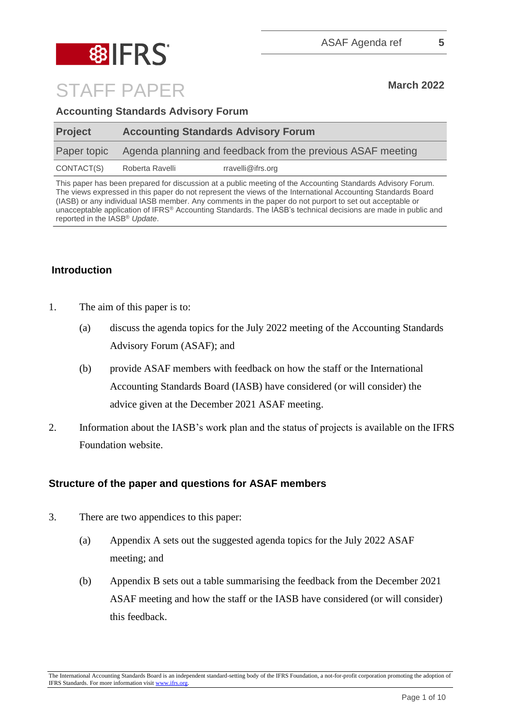

**Accounting Standards Advisory Forum** 

| <b>Project</b> | <b>Accounting Standards Advisory Forum</b>                  |                   |
|----------------|-------------------------------------------------------------|-------------------|
| Paper topic    | Agenda planning and feedback from the previous ASAF meeting |                   |
| CONTACT(S)     | Roberta Ravelli                                             | rravelli@ifrs.org |

This paper has been prepared for discussion at a public meeting of the Accounting Standards Advisory Forum. The views expressed in this paper do not represent the views of the International Accounting Standards Board (IASB) or any individual IASB member. Any comments in the paper do not purport to set out acceptable or unacceptable application of IFRS® Accounting Standards. The IASB's technical decisions are made in public and reported in the IASB® *Update*.

### **Introduction**

- 1. The aim of this paper is to:
	- (a) discuss the agenda topics for the July 2022 meeting of the Accounting Standards Advisory Forum (ASAF); and
	- (b) provide ASAF members with feedback on how the staff or the International Accounting Standards Board (IASB) have considered (or will consider) the advice given at the December 2021 ASAF meeting.
- 2. Information about the IASB's work plan and the status of projects is available on the IFRS Foundation website.

#### **Structure of the paper and questions for ASAF members**

- 3. There are two appendices to this paper:
	- (a) Appendix A sets out the suggested agenda topics for the July 2022 ASAF meeting; and
	- (b) Appendix B sets out a table summarising the feedback from the December 2021 ASAF meeting and how the staff or the IASB have considered (or will consider) this feedback.

The International Accounting Standards Board is an independent standard-setting body of the IFRS Foundation, a not-for-profit corporation promoting the adoption of IFRS Standards. For more information visit [www.ifrs.org.](http://www.ifrs.org/)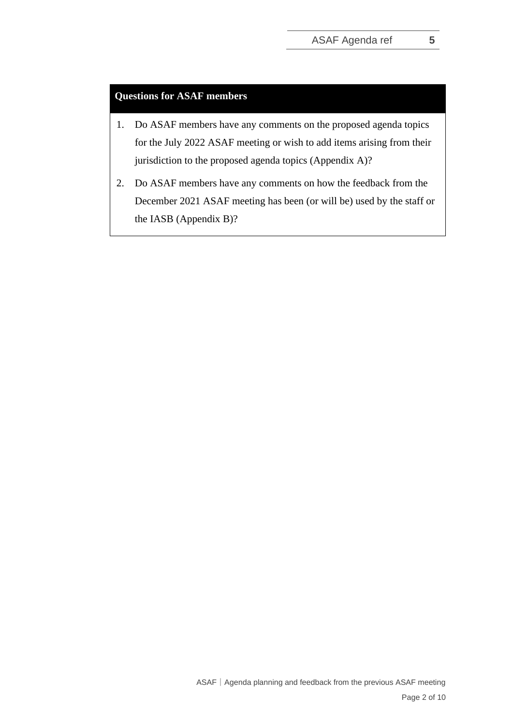#### **Questions for ASAF members**

- 1. Do ASAF members have any comments on the proposed agenda topics for the July 2022 ASAF meeting or wish to add items arising from their jurisdiction to the proposed agenda topics (Appendix A)?
- 2. Do ASAF members have any comments on how the feedback from the December 2021 ASAF meeting has been (or will be) used by the staff or the IASB (Appendix B)?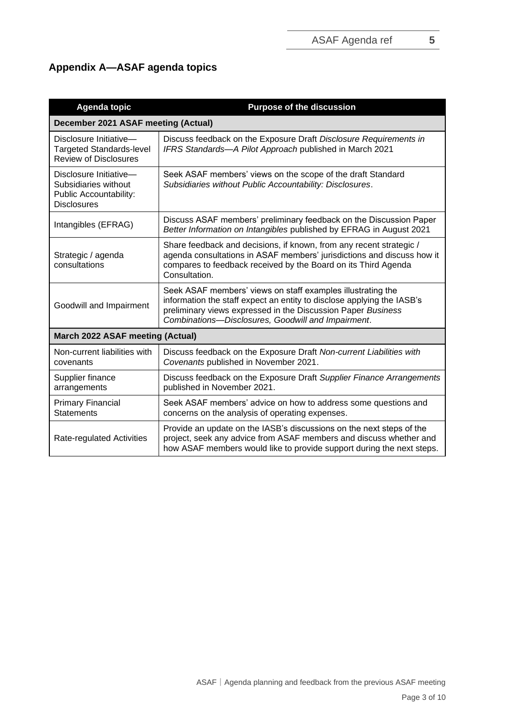## **Appendix A—ASAF agenda topics**

| <b>Agenda topic</b>                                                                            | <b>Purpose of the discussion</b>                                                                                                                                                                                                                            |  |  |
|------------------------------------------------------------------------------------------------|-------------------------------------------------------------------------------------------------------------------------------------------------------------------------------------------------------------------------------------------------------------|--|--|
| December 2021 ASAF meeting (Actual)                                                            |                                                                                                                                                                                                                                                             |  |  |
| Disclosure Initiative-<br><b>Targeted Standards-level</b><br><b>Review of Disclosures</b>      | Discuss feedback on the Exposure Draft Disclosure Requirements in<br>IFRS Standards-A Pilot Approach published in March 2021                                                                                                                                |  |  |
| Disclosure Initiative-<br>Subsidiaries without<br>Public Accountability:<br><b>Disclosures</b> | Seek ASAF members' views on the scope of the draft Standard<br>Subsidiaries without Public Accountability: Disclosures.                                                                                                                                     |  |  |
| Intangibles (EFRAG)                                                                            | Discuss ASAF members' preliminary feedback on the Discussion Paper<br>Better Information on Intangibles published by EFRAG in August 2021                                                                                                                   |  |  |
| Strategic / agenda<br>consultations                                                            | Share feedback and decisions, if known, from any recent strategic /<br>agenda consultations in ASAF members' jurisdictions and discuss how it<br>compares to feedback received by the Board on its Third Agenda<br>Consultation.                            |  |  |
| Goodwill and Impairment                                                                        | Seek ASAF members' views on staff examples illustrating the<br>information the staff expect an entity to disclose applying the IASB's<br>preliminary views expressed in the Discussion Paper Business<br>Combinations-Disclosures, Goodwill and Impairment. |  |  |
| March 2022 ASAF meeting (Actual)                                                               |                                                                                                                                                                                                                                                             |  |  |
| Non-current liabilities with<br>covenants                                                      | Discuss feedback on the Exposure Draft Non-current Liabilities with<br>Covenants published in November 2021.                                                                                                                                                |  |  |
| Supplier finance<br>arrangements                                                               | Discuss feedback on the Exposure Draft Supplier Finance Arrangements<br>published in November 2021.                                                                                                                                                         |  |  |
| <b>Primary Financial</b><br><b>Statements</b>                                                  | Seek ASAF members' advice on how to address some questions and<br>concerns on the analysis of operating expenses.                                                                                                                                           |  |  |
| Rate-regulated Activities                                                                      | Provide an update on the IASB's discussions on the next steps of the<br>project, seek any advice from ASAF members and discuss whether and<br>how ASAF members would like to provide support during the next steps.                                         |  |  |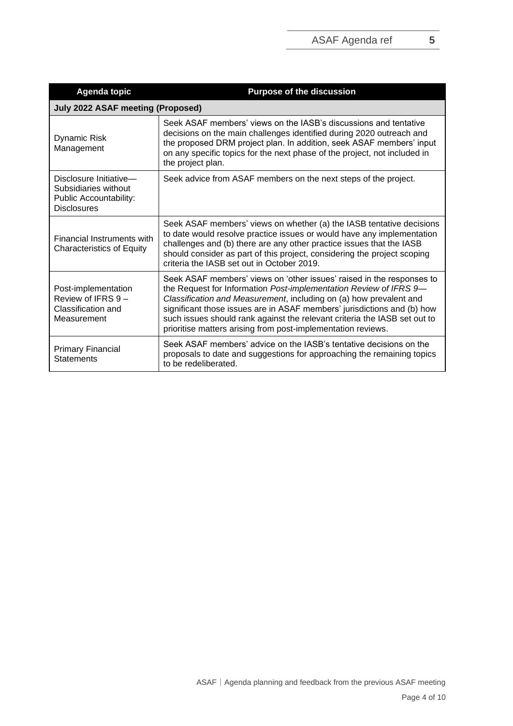| <b>Agenda topic</b>                                                                                   | <b>Purpose of the discussion</b>                                                                                                                                                                                                                                                                                                                                                                                                         |  |  |
|-------------------------------------------------------------------------------------------------------|------------------------------------------------------------------------------------------------------------------------------------------------------------------------------------------------------------------------------------------------------------------------------------------------------------------------------------------------------------------------------------------------------------------------------------------|--|--|
| <b>July 2022 ASAF meeting (Proposed)</b>                                                              |                                                                                                                                                                                                                                                                                                                                                                                                                                          |  |  |
| <b>Dynamic Risk</b><br>Management                                                                     | Seek ASAF members' views on the IASB's discussions and tentative<br>decisions on the main challenges identified during 2020 outreach and<br>the proposed DRM project plan. In addition, seek ASAF members' input<br>on any specific topics for the next phase of the project, not included in<br>the project plan.                                                                                                                       |  |  |
| Disclosure Initiative-<br>Subsidiaries without<br><b>Public Accountability:</b><br><b>Disclosures</b> | Seek advice from ASAF members on the next steps of the project.                                                                                                                                                                                                                                                                                                                                                                          |  |  |
| Financial Instruments with<br><b>Characteristics of Equity</b>                                        | Seek ASAF members' views on whether (a) the IASB tentative decisions<br>to date would resolve practice issues or would have any implementation<br>challenges and (b) there are any other practice issues that the IASB<br>should consider as part of this project, considering the project scoping<br>criteria the IASB set out in October 2019.                                                                                         |  |  |
| Post-implementation<br>Review of IFRS $9-$<br>Classification and<br>Measurement                       | Seek ASAF members' views on 'other issues' raised in the responses to<br>the Request for Information Post-implementation Review of IFRS 9-<br>Classification and Measurement, including on (a) how prevalent and<br>significant those issues are in ASAF members' jurisdictions and (b) how<br>such issues should rank against the relevant criteria the IASB set out to<br>prioritise matters arising from post-implementation reviews. |  |  |
| <b>Primary Financial</b><br><b>Statements</b>                                                         | Seek ASAF members' advice on the IASB's tentative decisions on the<br>proposals to date and suggestions for approaching the remaining topics<br>to be redeliberated.                                                                                                                                                                                                                                                                     |  |  |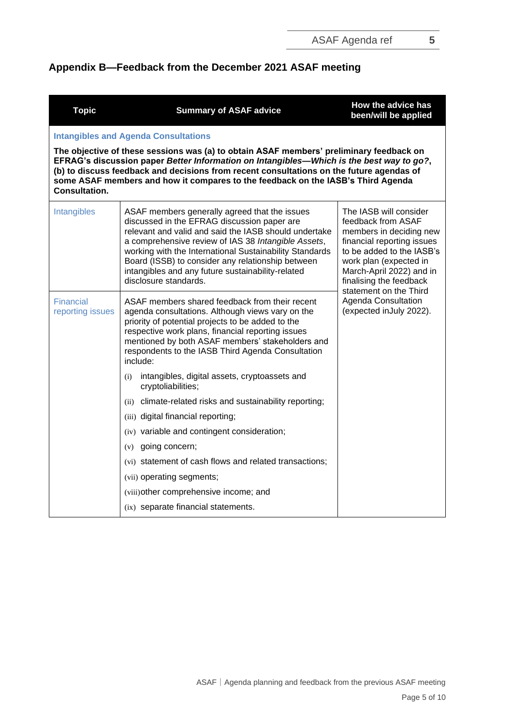# **Appendix B—Feedback from the December 2021 ASAF meeting**

| <b>Topic</b>                         | <b>Summary of ASAF advice</b>                                                                                                                                                                                                                                                                                                                                                                              | How the advice has<br>been/will be applied                                                                                                                                                                          |  |  |
|--------------------------------------|------------------------------------------------------------------------------------------------------------------------------------------------------------------------------------------------------------------------------------------------------------------------------------------------------------------------------------------------------------------------------------------------------------|---------------------------------------------------------------------------------------------------------------------------------------------------------------------------------------------------------------------|--|--|
|                                      | <b>Intangibles and Agenda Consultations</b>                                                                                                                                                                                                                                                                                                                                                                |                                                                                                                                                                                                                     |  |  |
| <b>Consultation.</b>                 | The objective of these sessions was (a) to obtain ASAF members' preliminary feedback on<br>EFRAG's discussion paper Better Information on Intangibles—Which is the best way to go?,<br>(b) to discuss feedback and decisions from recent consultations on the future agendas of<br>some ASAF members and how it compares to the feedback on the IASB's Third Agenda                                        |                                                                                                                                                                                                                     |  |  |
| Intangibles                          | ASAF members generally agreed that the issues<br>discussed in the EFRAG discussion paper are<br>relevant and valid and said the IASB should undertake<br>a comprehensive review of IAS 38 Intangible Assets,<br>working with the International Sustainability Standards<br>Board (ISSB) to consider any relationship between<br>intangibles and any future sustainability-related<br>disclosure standards. | The IASB will consider<br>feedback from ASAF<br>members in deciding new<br>financial reporting issues<br>to be added to the IASB's<br>work plan (expected in<br>March-April 2022) and in<br>finalising the feedback |  |  |
| <b>Financial</b><br>reporting issues | ASAF members shared feedback from their recent<br>agenda consultations. Although views vary on the<br>priority of potential projects to be added to the<br>respective work plans, financial reporting issues<br>mentioned by both ASAF members' stakeholders and<br>respondents to the IASB Third Agenda Consultation<br>include:                                                                          | statement on the Third<br><b>Agenda Consultation</b><br>(expected inJuly 2022).                                                                                                                                     |  |  |
|                                      | intangibles, digital assets, cryptoassets and<br>(i)<br>cryptoliabilities;                                                                                                                                                                                                                                                                                                                                 |                                                                                                                                                                                                                     |  |  |
|                                      | (ii) climate-related risks and sustainability reporting;                                                                                                                                                                                                                                                                                                                                                   |                                                                                                                                                                                                                     |  |  |
|                                      | (iii) digital financial reporting;                                                                                                                                                                                                                                                                                                                                                                         |                                                                                                                                                                                                                     |  |  |
|                                      | (iv) variable and contingent consideration;                                                                                                                                                                                                                                                                                                                                                                |                                                                                                                                                                                                                     |  |  |
|                                      | (v) going concern;                                                                                                                                                                                                                                                                                                                                                                                         |                                                                                                                                                                                                                     |  |  |
|                                      | (vi) statement of cash flows and related transactions;                                                                                                                                                                                                                                                                                                                                                     |                                                                                                                                                                                                                     |  |  |
|                                      | (vii) operating segments;                                                                                                                                                                                                                                                                                                                                                                                  |                                                                                                                                                                                                                     |  |  |
|                                      | (viii) other comprehensive income; and                                                                                                                                                                                                                                                                                                                                                                     |                                                                                                                                                                                                                     |  |  |
|                                      | (ix) separate financial statements.                                                                                                                                                                                                                                                                                                                                                                        |                                                                                                                                                                                                                     |  |  |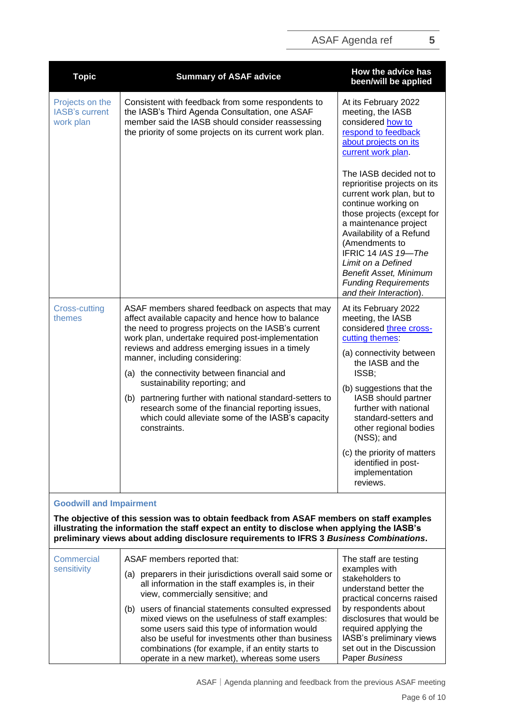| <b>Topic</b>                                                                                                                                                                                                                                                                        | <b>Summary of ASAF advice</b>                                                                                                                                                                                                                                         | How the advice has<br>been/will be applied                                                                                                                                                                                                                                                                                            |
|-------------------------------------------------------------------------------------------------------------------------------------------------------------------------------------------------------------------------------------------------------------------------------------|-----------------------------------------------------------------------------------------------------------------------------------------------------------------------------------------------------------------------------------------------------------------------|---------------------------------------------------------------------------------------------------------------------------------------------------------------------------------------------------------------------------------------------------------------------------------------------------------------------------------------|
| Projects on the<br><b>IASB's current</b><br>work plan                                                                                                                                                                                                                               | Consistent with feedback from some respondents to<br>the IASB's Third Agenda Consultation, one ASAF<br>member said the IASB should consider reassessing<br>the priority of some projects on its current work plan.                                                    | At its February 2022<br>meeting, the IASB<br>considered how to<br>respond to feedback<br>about projects on its<br>current work plan<br>The IASB decided not to<br>reprioritise projects on its<br>current work plan, but to<br>continue working on<br>those projects (except for<br>a maintenance project<br>Availability of a Refund |
|                                                                                                                                                                                                                                                                                     |                                                                                                                                                                                                                                                                       | (Amendments to<br>IFRIC 14 IAS 19-The<br>Limit on a Defined<br><b>Benefit Asset, Minimum</b><br><b>Funding Requirements</b><br>and their Interaction).                                                                                                                                                                                |
| <b>Cross-cutting</b><br>themes                                                                                                                                                                                                                                                      | ASAF members shared feedback on aspects that may<br>affect available capacity and hence how to balance<br>the need to progress projects on the IASB's current<br>work plan, undertake required post-implementation<br>reviews and address emerging issues in a timely | At its February 2022<br>meeting, the IASB<br>considered three cross-<br>cutting themes:                                                                                                                                                                                                                                               |
|                                                                                                                                                                                                                                                                                     | manner, including considering:<br>(a) the connectivity between financial and                                                                                                                                                                                          | (a) connectivity between<br>the IASB and the<br>ISSB;                                                                                                                                                                                                                                                                                 |
|                                                                                                                                                                                                                                                                                     | sustainability reporting; and<br>(b) partnering further with national standard-setters to<br>research some of the financial reporting issues,<br>which could alleviate some of the IASB's capacity<br>constraints.                                                    | (b) suggestions that the<br>IASB should partner<br>further with national<br>standard-setters and<br>other regional bodies<br>(NSS); and                                                                                                                                                                                               |
|                                                                                                                                                                                                                                                                                     |                                                                                                                                                                                                                                                                       | (c) the priority of matters<br>identified in post-<br>implementation<br>reviews.                                                                                                                                                                                                                                                      |
| <b>Goodwill and Impairment</b>                                                                                                                                                                                                                                                      |                                                                                                                                                                                                                                                                       |                                                                                                                                                                                                                                                                                                                                       |
| The objective of this session was to obtain feedback from ASAF members on staff examples<br>illustrating the information the staff expect an entity to disclose when applying the IASB's<br>preliminary views about adding disclosure requirements to IFRS 3 Business Combinations. |                                                                                                                                                                                                                                                                       |                                                                                                                                                                                                                                                                                                                                       |
| Commarcial                                                                                                                                                                                                                                                                          | $\Delta$ S $\Delta$ F mamhare ranortad that:                                                                                                                                                                                                                          | The staff are testing                                                                                                                                                                                                                                                                                                                 |

| Commercial<br>sensitivity | ASAF members reported that:                                                                                                                                                                                                                                                                                               | The staff are testing<br>examples with                                                                                                                |
|---------------------------|---------------------------------------------------------------------------------------------------------------------------------------------------------------------------------------------------------------------------------------------------------------------------------------------------------------------------|-------------------------------------------------------------------------------------------------------------------------------------------------------|
|                           | preparers in their jurisdictions overall said some or<br>(a)<br>all information in the staff examples is, in their<br>view, commercially sensitive; and                                                                                                                                                                   | stakeholders to<br>understand better the<br>practical concerns raised                                                                                 |
|                           | users of financial statements consulted expressed<br>(b)<br>mixed views on the usefulness of staff examples:<br>some users said this type of information would<br>also be useful for investments other than business<br>combinations (for example, if an entity starts to<br>operate in a new market), whereas some users | by respondents about<br>disclosures that would be<br>required applying the<br>IASB's preliminary views<br>set out in the Discussion<br>Paper Business |

ASAF | Agenda planning and feedback from the previous ASAF meeting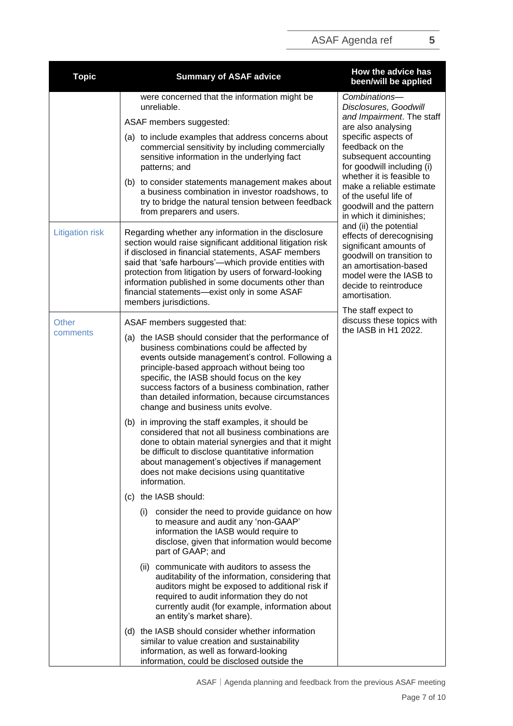| <b>Topic</b>           | <b>Summary of ASAF advice</b>                                                                                                                                                                                                                                                                                                                                                                                              | How the advice has<br>been/will be applied                                                                                                                                                                                                                                                                                                                                                                                                                                                                                 |  |
|------------------------|----------------------------------------------------------------------------------------------------------------------------------------------------------------------------------------------------------------------------------------------------------------------------------------------------------------------------------------------------------------------------------------------------------------------------|----------------------------------------------------------------------------------------------------------------------------------------------------------------------------------------------------------------------------------------------------------------------------------------------------------------------------------------------------------------------------------------------------------------------------------------------------------------------------------------------------------------------------|--|
|                        | were concerned that the information might be<br>unreliable.                                                                                                                                                                                                                                                                                                                                                                | Combinations-<br>Disclosures, Goodwill                                                                                                                                                                                                                                                                                                                                                                                                                                                                                     |  |
|                        | ASAF members suggested:                                                                                                                                                                                                                                                                                                                                                                                                    | and Impairment. The staff<br>are also analysing<br>specific aspects of<br>feedback on the<br>subsequent accounting<br>for goodwill including (i)<br>whether it is feasible to<br>make a reliable estimate<br>of the useful life of<br>goodwill and the pattern<br>in which it diminishes;<br>and (ii) the potential<br>effects of derecognising<br>significant amounts of<br>goodwill on transition to<br>an amortisation-based<br>model were the IASB to<br>decide to reintroduce<br>amortisation.<br>The staff expect to |  |
|                        | (a) to include examples that address concerns about<br>commercial sensitivity by including commercially<br>sensitive information in the underlying fact<br>patterns; and                                                                                                                                                                                                                                                   |                                                                                                                                                                                                                                                                                                                                                                                                                                                                                                                            |  |
|                        | (b) to consider statements management makes about<br>a business combination in investor roadshows, to<br>try to bridge the natural tension between feedback<br>from preparers and users.                                                                                                                                                                                                                                   |                                                                                                                                                                                                                                                                                                                                                                                                                                                                                                                            |  |
| <b>Litigation risk</b> | Regarding whether any information in the disclosure<br>section would raise significant additional litigation risk<br>if disclosed in financial statements, ASAF members<br>said that 'safe harbours'—which provide entities with<br>protection from litigation by users of forward-looking<br>information published in some documents other than<br>financial statements-exist only in some ASAF<br>members jurisdictions. |                                                                                                                                                                                                                                                                                                                                                                                                                                                                                                                            |  |
| Other                  | ASAF members suggested that:                                                                                                                                                                                                                                                                                                                                                                                               | discuss these topics with                                                                                                                                                                                                                                                                                                                                                                                                                                                                                                  |  |
| comments               | (a) the IASB should consider that the performance of<br>business combinations could be affected by<br>events outside management's control. Following a<br>principle-based approach without being too<br>specific, the IASB should focus on the key<br>success factors of a business combination, rather<br>than detailed information, because circumstances<br>change and business units evolve.                           | the IASB in H1 2022.                                                                                                                                                                                                                                                                                                                                                                                                                                                                                                       |  |
|                        | (b) in improving the staff examples, it should be<br>considered that not all business combinations are<br>done to obtain material synergies and that it might<br>be difficult to disclose quantitative information<br>about management's objectives if management<br>does not make decisions using quantitative<br>information.                                                                                            |                                                                                                                                                                                                                                                                                                                                                                                                                                                                                                                            |  |
|                        | (c) the IASB should:                                                                                                                                                                                                                                                                                                                                                                                                       |                                                                                                                                                                                                                                                                                                                                                                                                                                                                                                                            |  |
|                        | consider the need to provide guidance on how<br>(i)<br>to measure and audit any 'non-GAAP'<br>information the IASB would require to<br>disclose, given that information would become<br>part of GAAP; and                                                                                                                                                                                                                  |                                                                                                                                                                                                                                                                                                                                                                                                                                                                                                                            |  |
|                        | (ii) communicate with auditors to assess the<br>auditability of the information, considering that<br>auditors might be exposed to additional risk if<br>required to audit information they do not<br>currently audit (for example, information about<br>an entity's market share).                                                                                                                                         |                                                                                                                                                                                                                                                                                                                                                                                                                                                                                                                            |  |
|                        | (d) the IASB should consider whether information<br>similar to value creation and sustainability<br>information, as well as forward-looking<br>information, could be disclosed outside the                                                                                                                                                                                                                                 |                                                                                                                                                                                                                                                                                                                                                                                                                                                                                                                            |  |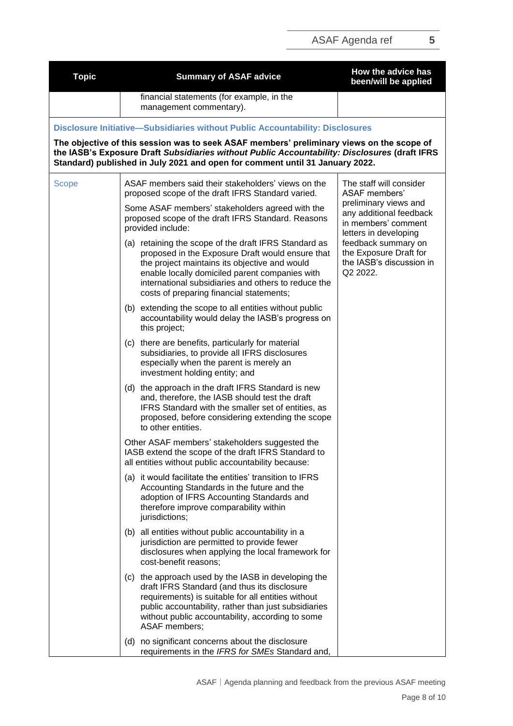| <b>Topic</b> | <b>Summary of ASAF advice</b>                                                                                                                                                                                                                                                                                   | How the advice has<br>been/will be applied                                                                                                                                                |
|--------------|-----------------------------------------------------------------------------------------------------------------------------------------------------------------------------------------------------------------------------------------------------------------------------------------------------------------|-------------------------------------------------------------------------------------------------------------------------------------------------------------------------------------------|
|              | financial statements (for example, in the<br>management commentary).                                                                                                                                                                                                                                            |                                                                                                                                                                                           |
|              | Disclosure Initiative-Subsidiaries without Public Accountability: Disclosures                                                                                                                                                                                                                                   |                                                                                                                                                                                           |
|              | The objective of this session was to seek ASAF members' preliminary views on the scope of<br>the IASB's Exposure Draft Subsidiaries without Public Accountability: Disclosures (draft IFRS<br>Standard) published in July 2021 and open for comment until 31 January 2022.                                      |                                                                                                                                                                                           |
| <b>Scope</b> | ASAF members said their stakeholders' views on the<br>proposed scope of the draft IFRS Standard varied.                                                                                                                                                                                                         | The staff will consider<br><b>ASAF</b> members'                                                                                                                                           |
|              | Some ASAF members' stakeholders agreed with the<br>proposed scope of the draft IFRS Standard. Reasons<br>provided include:                                                                                                                                                                                      | preliminary views and<br>any additional feedback<br>in members' comment<br>letters in developing<br>feedback summary on<br>the Exposure Draft for<br>the IASB's discussion in<br>Q2 2022. |
|              | (a) retaining the scope of the draft IFRS Standard as<br>proposed in the Exposure Draft would ensure that<br>the project maintains its objective and would<br>enable locally domiciled parent companies with<br>international subsidiaries and others to reduce the<br>costs of preparing financial statements; |                                                                                                                                                                                           |
|              | (b) extending the scope to all entities without public<br>accountability would delay the IASB's progress on<br>this project;                                                                                                                                                                                    |                                                                                                                                                                                           |
|              | (c) there are benefits, particularly for material<br>subsidiaries, to provide all IFRS disclosures<br>especially when the parent is merely an<br>investment holding entity; and                                                                                                                                 |                                                                                                                                                                                           |
|              | (d) the approach in the draft IFRS Standard is new<br>and, therefore, the IASB should test the draft<br>IFRS Standard with the smaller set of entities, as<br>proposed, before considering extending the scope<br>to other entities.                                                                            |                                                                                                                                                                                           |
|              | Other ASAF members' stakeholders suggested the<br>IASB extend the scope of the draft IFRS Standard to<br>all entities without public accountability because:                                                                                                                                                    |                                                                                                                                                                                           |
|              | (a) it would facilitate the entities' transition to IFRS<br>Accounting Standards in the future and the<br>adoption of IFRS Accounting Standards and<br>therefore improve comparability within<br>jurisdictions;                                                                                                 |                                                                                                                                                                                           |
|              | (b) all entities without public accountability in a<br>jurisdiction are permitted to provide fewer<br>disclosures when applying the local framework for<br>cost-benefit reasons;                                                                                                                                |                                                                                                                                                                                           |
|              | (c) the approach used by the IASB in developing the<br>draft IFRS Standard (and thus its disclosure<br>requirements) is suitable for all entities without<br>public accountability, rather than just subsidiaries<br>without public accountability, according to some<br>ASAF members;                          |                                                                                                                                                                                           |
|              | (d) no significant concerns about the disclosure<br>requirements in the IFRS for SMEs Standard and,                                                                                                                                                                                                             |                                                                                                                                                                                           |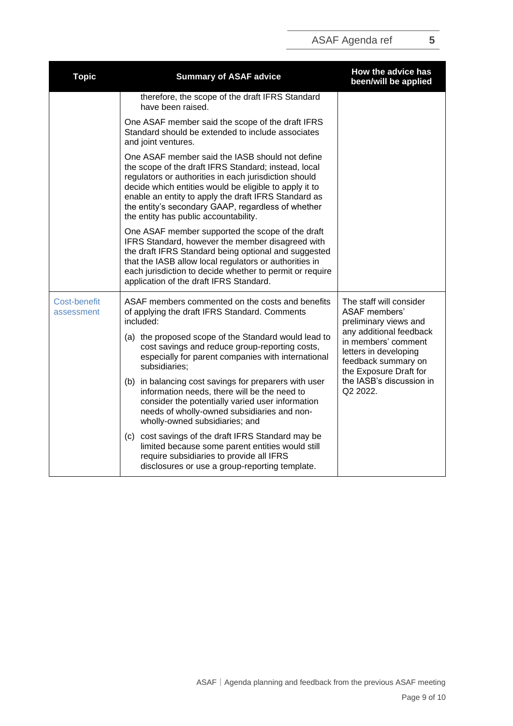| <b>Topic</b>                      | <b>Summary of ASAF advice</b>                                                                                                                                                                                                                                                                                                                                                     | How the advice has<br>been/will be applied                                                                                                                                                                                                   |
|-----------------------------------|-----------------------------------------------------------------------------------------------------------------------------------------------------------------------------------------------------------------------------------------------------------------------------------------------------------------------------------------------------------------------------------|----------------------------------------------------------------------------------------------------------------------------------------------------------------------------------------------------------------------------------------------|
|                                   | therefore, the scope of the draft IFRS Standard<br>have been raised.                                                                                                                                                                                                                                                                                                              |                                                                                                                                                                                                                                              |
|                                   | One ASAF member said the scope of the draft IFRS<br>Standard should be extended to include associates<br>and joint ventures.                                                                                                                                                                                                                                                      |                                                                                                                                                                                                                                              |
|                                   | One ASAF member said the IASB should not define<br>the scope of the draft IFRS Standard; instead, local<br>regulators or authorities in each jurisdiction should<br>decide which entities would be eligible to apply it to<br>enable an entity to apply the draft IFRS Standard as<br>the entity's secondary GAAP, regardless of whether<br>the entity has public accountability. |                                                                                                                                                                                                                                              |
|                                   | One ASAF member supported the scope of the draft<br>IFRS Standard, however the member disagreed with<br>the draft IFRS Standard being optional and suggested<br>that the IASB allow local regulators or authorities in<br>each jurisdiction to decide whether to permit or require<br>application of the draft IFRS Standard.                                                     |                                                                                                                                                                                                                                              |
| <b>Cost-benefit</b><br>assessment | ASAF members commented on the costs and benefits<br>of applying the draft IFRS Standard. Comments<br>included:<br>(a) the proposed scope of the Standard would lead to<br>cost savings and reduce group-reporting costs,<br>especially for parent companies with international<br>subsidiaries;                                                                                   | The staff will consider<br><b>ASAF</b> members'<br>preliminary views and<br>any additional feedback<br>in members' comment<br>letters in developing<br>feedback summary on<br>the Exposure Draft for<br>the IASB's discussion in<br>Q2 2022. |
|                                   | (b) in balancing cost savings for preparers with user<br>information needs, there will be the need to<br>consider the potentially varied user information<br>needs of wholly-owned subsidiaries and non-<br>wholly-owned subsidiaries; and                                                                                                                                        |                                                                                                                                                                                                                                              |
|                                   | (c) cost savings of the draft IFRS Standard may be<br>limited because some parent entities would still<br>require subsidiaries to provide all IFRS<br>disclosures or use a group-reporting template.                                                                                                                                                                              |                                                                                                                                                                                                                                              |